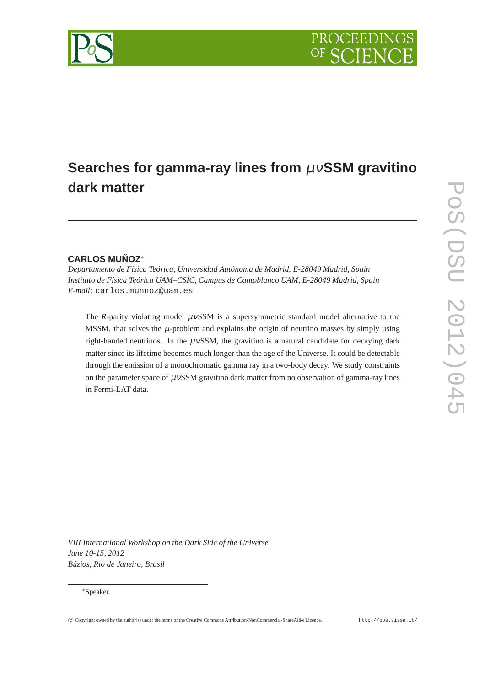# **Searches for gamma-ray lines from** µν**SSM gravitino dark matter**

## **CARLOS MUÑOZ**<sup>∗</sup>

*Departamento de Física Teórica, Universidad Autónoma de Madrid, E-28049 Madrid, Spain Instituto de Física Teórica UAM–CSIC, Campus de Cantoblanco UAM, E-28049 Madrid, Spain E-mail:* carlos.munnoz@uam.es

The *R*-parity violating model  $\mu$ vSSM is a supersymmetric standard model alternative to the MSSM, that solves the  $\mu$ -problem and explains the origin of neutrino masses by simply using right-handed neutrinos. In the  $\mu$ vSSM, the gravitino is a natural candidate for decaying dark matter since its lifetime becomes much longer than the age of the Universe. It could be detectable through the emission of a monochromatic gamma ray in a two-body decay. We study constraints on the parameter space of  $\mu$ vSSM gravitino dark matter from no observation of gamma-ray lines in Fermi-LAT data.

*VIII International Workshop on the Dark Side of the Universe June 10-15, 2012 Búzios, Rio de Janeiro, Brasil*

#### <sup>∗</sup>Speaker.

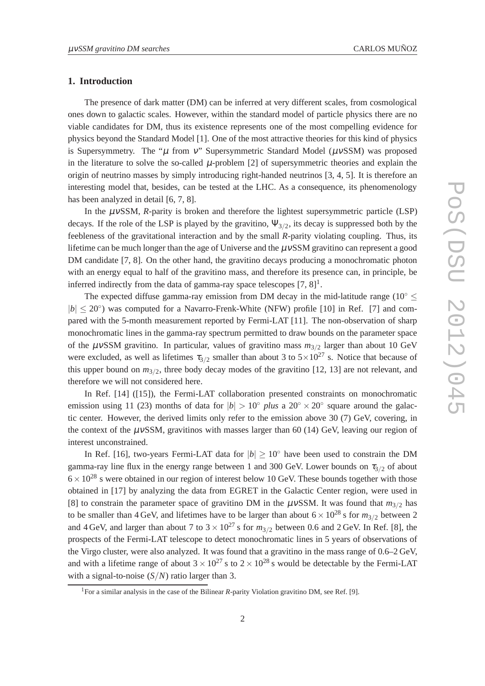#### **1. Introduction**

The presence of dark matter (DM) can be inferred at very different scales, from cosmological ones down to galactic scales. However, within the standard model of particle physics there are no viable candidates for DM, thus its existence represents one of the most compelling evidence for physics beyond the Standard Model [1]. One of the most attractive theories for this kind of physics is Supersymmetry. The " $\mu$  from v" Supersymmetric Standard Model ( $\mu$ vSSM) was proposed in the literature to solve the so-called  $\mu$ -problem [2] of supersymmetric theories and explain the origin of neutrino masses by simply introducing right-handed neutrinos [3, 4, 5]. It is therefore an interesting model that, besides, can be tested at the LHC. As a consequence, its phenomenology has been analyzed in detail [6, 7, 8].

In the  $\mu$ *vSSM*, *R*-parity is broken and therefore the lightest supersymmetric particle (LSP) decays. If the role of the LSP is played by the gravitino,  $\Psi_{3/2}$ , its decay is suppressed both by the feebleness of the gravitational interaction and by the small *R*-parity violating coupling. Thus, its lifetime can be much longer than the age of Universe and the  $\mu$  vSSM gravitino can represent a good DM candidate [7, 8]. On the other hand, the gravitino decays producing a monochromatic photon with an energy equal to half of the gravitino mass, and therefore its presence can, in principle, be inferred indirectly from the data of gamma-ray space telescopes  $[7, 8]$ <sup>1</sup>.

The expected diffuse gamma-ray emission from DM decay in the mid-latitude range ( $10^{\circ}$   $\leq$  $|b| \leq 20^{\circ}$ ) was computed for a Navarro-Frenk-White (NFW) profile [10] in Ref. [7] and compared with the 5-month measurement reported by Fermi-LAT [11]. The non-observation of sharp monochromatic lines in the gamma-ray spectrum permitted to draw bounds on the parameter space of the µνSSM gravitino. In particular, values of gravitino mass *m*3/<sup>2</sup> larger than about 10 GeV were excluded, as well as lifetimes  $\tau_{3/2}$  smaller than about 3 to  $5 \times 10^{27}$  s. Notice that because of this upper bound on  $m_{3/2}$ , three body decay modes of the gravitino [12, 13] are not relevant, and therefore we will not considered here.

In Ref. [14] ([15]), the Fermi-LAT collaboration presented constraints on monochromatic emission using 11 (23) months of data for  $|b| > 10°$  *plus* a 20° × 20° square around the galactic center. However, the derived limits only refer to the emission above 30 (7) GeV, covering, in the context of the  $\mu$ vSSM, gravitinos with masses larger than 60 (14) GeV, leaving our region of interest unconstrained.

In Ref. [16], two-years Fermi-LAT data for ∣*b*∣ ≥ 10<sup>∘</sup> have been used to constrain the DM gamma-ray line flux in the energy range between 1 and 300 GeV. Lower bounds on  $\tau_{3/2}$  of about  $6 \times 10^{28}$  s were obtained in our region of interest below 10 GeV. These bounds together with those obtained in [17] by analyzing the data from EGRET in the Galactic Center region, were used in [8] to constrain the parameter space of gravitino DM in the  $\mu$ vSSM. It was found that  $m_{3/2}$  has to be smaller than 4 GeV, and lifetimes have to be larger than about  $6 \times 10^{28}$  s for  $m_{3/2}$  between 2 and 4 GeV, and larger than about 7 to  $3 \times 10^{27}$  s for  $m_{3/2}$  between 0.6 and 2 GeV. In Ref. [8], the prospects of the Fermi-LAT telescope to detect monochromatic lines in 5 years of observations of the Virgo cluster, were also analyzed. It was found that a gravitino in the mass range of 0.6–2 GeV, and with a lifetime range of about  $3 \times 10^{27}$  s to  $2 \times 10^{28}$  s would be detectable by the Fermi-LAT with a signal-to-noise (*S*/*N*) ratio larger than 3.

<sup>&</sup>lt;sup>1</sup>For a similar analysis in the case of the Bilinear *R*-parity Violation gravitino DM, see Ref. [9].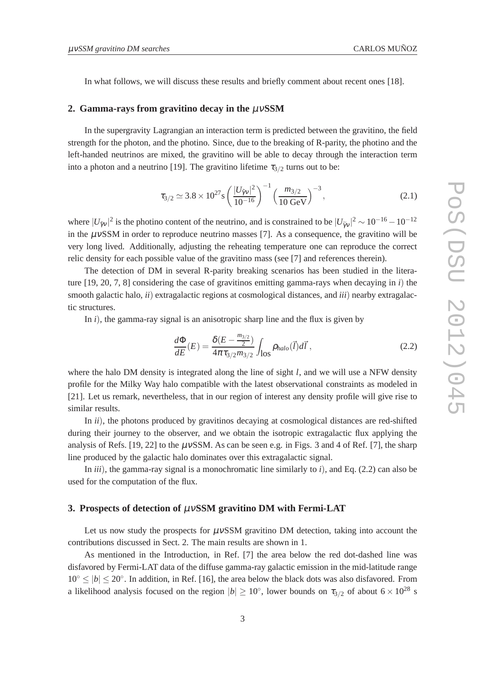In what follows, we will discuss these results and briefly comment about recent ones [18].

#### **2. Gamma-rays from gravitino decay in the** µν**SSM**

In the supergravity Lagrangian an interaction term is predicted between the gravitino, the field strength for the photon, and the photino. Since, due to the breaking of R-parity, the photino and the left-handed neutrinos are mixed, the gravitino will be able to decay through the interaction term into a photon and a neutrino [19]. The gravitino lifetime  $\tau_{3/2}$  turns out to be:

$$
\tau_{3/2} \simeq 3.8 \times 10^{27} \, \text{s} \left(\frac{|U_{\tilde{\gamma}v}|^2}{10^{-16}}\right)^{-1} \left(\frac{m_{3/2}}{10 \text{ GeV}}\right)^{-3},\tag{2.1}
$$

where  $|U_{\tilde{\gamma}v}|^2$  is the photino content of the neutrino, and is constrained to be  $|U_{\tilde{\gamma}v}|^2 \sim 10^{-16} - 10^{-12}$ in the  $\mu$ vSSM in order to reproduce neutrino masses [7]. As a consequence, the gravitino will be very long lived. Additionally, adjusting the reheating temperature one can reproduce the correct relic density for each possible value of the gravitino mass (see [7] and references therein).

The detection of DM in several R-parity breaking scenarios has been studied in the literature [19, 20, 7, 8] considering the case of gravitinos emitting gamma-rays when decaying in *i*) the smooth galactic halo, *ii*) extragalactic regions at cosmological distances, and *iii*) nearby extragalactic structures.

In *i*), the gamma-ray signal is an anisotropic sharp line and the flux is given by

$$
\frac{d\Phi}{dE}(E) = \frac{\delta(E - \frac{m_{3/2}}{2})}{4\pi\tau_{3/2}m_{3/2}} \int_{\text{los}} \rho_{halo}(\vec{l}) d\vec{l}, \qquad (2.2)
$$

where the halo DM density is integrated along the line of sight *l*, and we will use a NFW density profile for the Milky Way halo compatible with the latest observational constraints as modeled in [21]. Let us remark, nevertheless, that in our region of interest any density profile will give rise to similar results.

In *ii*), the photons produced by gravitinos decaying at cosmological distances are red-shifted during their journey to the observer, and we obtain the isotropic extragalactic flux applying the analysis of Refs. [19, 22] to the  $\mu$ vSSM. As can be seen e.g. in Figs. 3 and 4 of Ref. [7], the sharp line produced by the galactic halo dominates over this extragalactic signal.

In *iii*), the gamma-ray signal is a monochromatic line similarly to *i*), and Eq. (2.2) can also be used for the computation of the flux.

#### **3. Prospects of detection of** µν**SSM gravitino DM with Fermi-LAT**

Let us now study the prospects for  $\mu$ vSSM gravitino DM detection, taking into account the contributions discussed in Sect. 2. The main results are shown in 1.

As mentioned in the Introduction, in Ref. [7] the area below the red dot-dashed line was disfavored by Fermi-LAT data of the diffuse gamma-ray galactic emission in the mid-latitude range 10<sup>∘</sup> ≤ ∣*b*∣ ≤ 20<sup>∘</sup> . In addition, in Ref. [16], the area below the black dots was also disfavored. From a likelihood analysis focused on the region  $|b| \ge 10^{\circ}$ , lower bounds on  $\tau_{3/2}$  of about  $6 \times 10^{28}$  s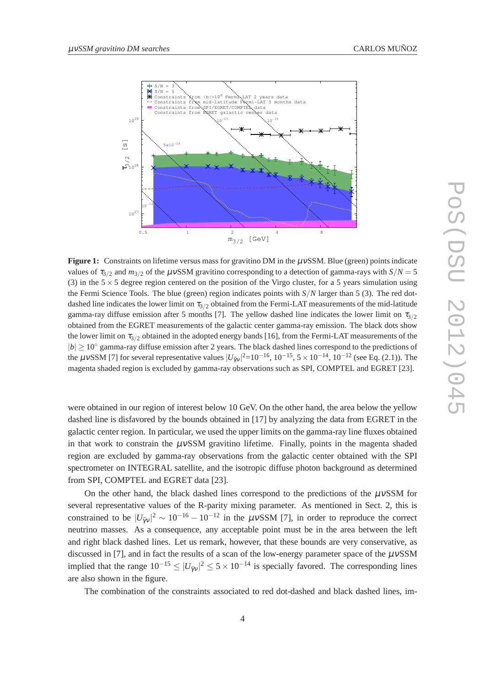

**Figure 1:** Constraints on lifetime versus mass for gravitino DM in the  $\mu$ vSSM. Blue (green) points indicate values of  $\tau_{3/2}$  and  $m_{3/2}$  of the  $\mu$ vSSM gravitino corresponding to a detection of gamma-rays with  $S/N = 5$ (3) in the  $5 \times 5$  degree region centered on the position of the Virgo cluster, for a 5 years simulation using the Fermi Science Tools. The blue (green) region indicates points with *S*/*N* larger than 5 (3). The red dotdashed line indicates the lower limit on  $\tau_{3/2}$  obtained from the Fermi-LAT measurements of the mid-latitude gamma-ray diffuse emission after 5 months [7]. The yellow dashed line indicates the lower limit on  $\tau_{3/2}$ obtained from the EGRET measurements of the galactic center gamma-ray emission. The black dots show the lower limit on  $\tau_{3/2}$  obtained in the adopted energy bands [16], from the Fermi-LAT measurements of the *|b*| ≥ 10° gamma-ray diffuse emission after 2 years. The black dashed lines correspond to the predictions of the  $\mu$ vSSM [7] for several representative values  $|U_{\tilde{\gamma}\nu}|^2$ =10<sup>-16</sup>, 10<sup>-15</sup>, 5 × 10<sup>-14</sup>, 10<sup>-12</sup> (see Eq. (2.1)). The magenta shaded region is excluded by gamma-ray observations such as SPI, COMPTEL and EGRET [23].

were obtained in our region of interest below 10 GeV. On the other hand, the area below the yellow dashed line is disfavored by the bounds obtained in [17] by analyzing the data from EGRET in the galactic center region. In particular, we used the upper limits on the gamma-ray line fluxes obtained in that work to constrain the  $\mu$ vSSM gravitino lifetime. Finally, points in the magenta shaded region are excluded by gamma-ray observations from the galactic center obtained with the SPI spectrometer on INTEGRAL satellite, and the isotropic diffuse photon background as determined from SPI, COMPTEL and EGRET data [23].

On the other hand, the black dashed lines correspond to the predictions of the  $\mu$ vSSM for several representative values of the R-parity mixing parameter. As mentioned in Sect. 2, this is constrained to be  $|U_{\tilde{\gamma}v}|^2 \sim 10^{-16} - 10^{-12}$  in the  $\mu vSSM$  [7], in order to reproduce the correct neutrino masses. As a consequence, any acceptable point must be in the area between the left and right black dashed lines. Let us remark, however, that these bounds are very conservative, as discussed in [7], and in fact the results of a scan of the low-energy parameter space of the  $\mu$ vSSM implied that the range  $10^{-15} \le |U_{\gamma v}|^2 \le 5 \times 10^{-14}$  is specially favored. The corresponding lines are also shown in the figure.

The combination of the constraints associated to red dot-dashed and black dashed lines, im-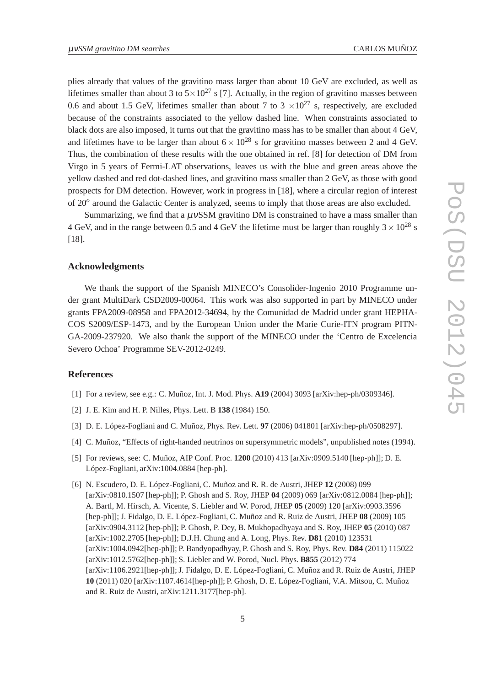plies already that values of the gravitino mass larger than about 10 GeV are excluded, as well as lifetimes smaller than about 3 to  $5 \times 10^{27}$  s [7]. Actually, in the region of gravitino masses between 0.6 and about 1.5 GeV, lifetimes smaller than about 7 to 3  $\times 10^{27}$  s, respectively, are excluded because of the constraints associated to the yellow dashed line. When constraints associated to black dots are also imposed, it turns out that the gravitino mass has to be smaller than about 4 GeV, and lifetimes have to be larger than about  $6 \times 10^{28}$  s for gravitino masses between 2 and 4 GeV. Thus, the combination of these results with the one obtained in ref. [8] for detection of DM from Virgo in 5 years of Fermi-LAT observations, leaves us with the blue and green areas above the yellow dashed and red dot-dashed lines, and gravitino mass smaller than 2 GeV, as those with good prospects for DM detection. However, work in progress in [18], where a circular region of interest of 20*<sup>o</sup>* around the Galactic Center is analyzed, seems to imply that those areas are also excluded.

Summarizing, we find that a  $\mu$ vSSM gravitino DM is constrained to have a mass smaller than 4 GeV, and in the range between 0.5 and 4 GeV the lifetime must be larger than roughly  $3 \times 10^{28}$  s [18].

### **Acknowledgments**

We thank the support of the Spanish MINECO's Consolider-Ingenio 2010 Programme under grant MultiDark CSD2009-00064. This work was also supported in part by MINECO under grants FPA2009-08958 and FPA2012-34694, by the Comunidad de Madrid under grant HEPHA-COS S2009/ESP-1473, and by the European Union under the Marie Curie-ITN program PITN-GA-2009-237920. We also thank the support of the MINECO under the 'Centro de Excelencia Severo Ochoa' Programme SEV-2012-0249.

#### **References**

- [1] For a review, see e.g.: C. Muñoz, Int. J. Mod. Phys. **A19** (2004) 3093 [arXiv:hep-ph/0309346].
- [2] J. E. Kim and H. P. Nilles, Phys. Lett. B **138** (1984) 150.
- [3] D. E. López-Fogliani and C. Muñoz, Phys. Rev. Lett. **97** (2006) 041801 [arXiv:hep-ph/0508297].
- [4] C. Muñoz, "Effects of right-handed neutrinos on supersymmetric models", unpublished notes (1994).
- [5] For reviews, see: C. Muñoz, AIP Conf. Proc. **1200** (2010) 413 [arXiv:0909.5140 [hep-ph]]; D. E. López-Fogliani, arXiv:1004.0884 [hep-ph].
- [6] N. Escudero, D. E. López-Fogliani, C. Muñoz and R. R. de Austri, JHEP **12** (2008) 099 [arXiv:0810.1507 [hep-ph]]; P. Ghosh and S. Roy, JHEP **04** (2009) 069 [arXiv:0812.0084 [hep-ph]]; A. Bartl, M. Hirsch, A. Vicente, S. Liebler and W. Porod, JHEP **05** (2009) 120 [arXiv:0903.3596 [hep-ph]]; J. Fidalgo, D. E. López-Fogliani, C. Muñoz and R. Ruiz de Austri, JHEP **08** (2009) 105 [arXiv:0904.3112 [hep-ph]]; P. Ghosh, P. Dey, B. Mukhopadhyaya and S. Roy, JHEP **05** (2010) 087 [arXiv:1002.2705 [hep-ph]]; D.J.H. Chung and A. Long, Phys. Rev. **D81** (2010) 123531 [arXiv:1004.0942[hep-ph]]; P. Bandyopadhyay, P. Ghosh and S. Roy, Phys. Rev. **D84** (2011) 115022 [arXiv:1012.5762[hep-ph]]; S. Liebler and W. Porod, Nucl. Phys. **B855** (2012) 774 [arXiv:1106.2921[hep-ph]]; J. Fidalgo, D. E. López-Fogliani, C. Muñoz and R. Ruiz de Austri, JHEP **10** (2011) 020 [arXiv:1107.4614[hep-ph]]; P. Ghosh, D. E. López-Fogliani, V.A. Mitsou, C. Muñoz and R. Ruiz de Austri, arXiv:1211.3177[hep-ph].